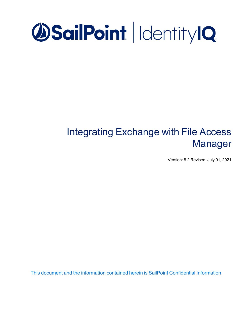# **OSailPoint | IdentityIQ**

# Integrating Exchange with File Access Manager

Version: 8.2 Revised: July 01, 2021

This document and the information contained herein is SailPoint Confidential Information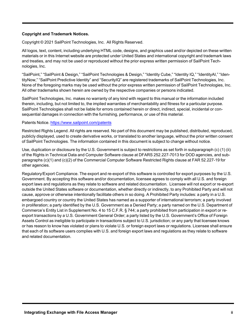#### **Copyright and Trademark Notices.**

Copyright © 2021 SailPoint Technologies, Inc. All Rights Reserved.

All logos, text, content, including underlying HTML code, designs, and graphics used and/or depicted on these written materials or in this Internet website are protected under United States and international copyright and trademark laws and treaties, and may not be used or reproduced without the prior express written permission of SailPoint Technologies, Inc.

"SailPoint," "SailPoint & Design," "SailPoint Technologies & Design," "Identity Cube," "Identity IQ," "IdentityAI," "IdentityNow," "SailPoint Predictive Identity" and "SecurityIQ" are registered trademarks of SailPoint Technologies, Inc. None of the foregoing marks may be used without the prior express written permission of SailPoint Technologies, Inc. All other trademarks shown herein are owned by the respective companies or persons indicated.

SailPoint Technologies, Inc. makes no warranty of any kind with regard to this manual or the information included therein, including, but not limited to, the implied warranties of merchantability and fitness for a particular purpose. SailPoint Technologies shall not be liable for errors contained herein or direct, indirect, special, incidental or consequential damages in connection with the furnishing, performance, or use of this material.

#### Patents Notice. <https://www.sailpoint.com/patents>

Restricted Rights Legend. All rights are reserved. No part of this document may be published, distributed, reproduced, publicly displayed, used to create derivative works, or translated to another language, without the prior written consent of SailPoint Technologies. The information contained in this document is subject to change without notice.

Use, duplication or disclosure by the U.S. Government is subject to restrictions as set forth in subparagraph (c) (1) (ii) of the Rights in Technical Data and Computer Software clause at DFARS 252.227-7013 for DOD agencies, and subparagraphs (c)(1) and (c)(2) of the Commercial Computer Software Restricted Rights clause at FAR 52.227-19 for other agencies.

Regulatory/Export Compliance. The export and re-export of this software is controlled for export purposes by the U.S. Government. By accepting this software and/or documentation, licensee agrees to comply with all U.S. and foreign export laws and regulations as they relate to software and related documentation. Licensee will not export or re-export outside the United States software or documentation, whether directly or indirectly, to any Prohibited Party and will not cause, approve or otherwise intentionally facilitate others in so doing. A Prohibited Party includes: a party in a U.S. embargoed country or country the United States has named as a supporter of international terrorism; a party involved in proliferation; a party identified by the U.S. Government as a Denied Party; a party named on the U.S. Department of Commerce's Entity List in Supplement No. 4 to 15 C.F.R. § 744; a party prohibited from participation in export or reexport transactions by a U.S. Government General Order; a party listed by the U.S. Government's Office of Foreign Assets Control as ineligible to participate in transactions subject to U.S. jurisdiction; or any party that licensee knows or has reason to know has violated or plans to violate U.S. or foreign export laws or regulations. Licensee shall ensure that each of its software users complies with U.S. and foreign export laws and regulations as they relate to software and related documentation.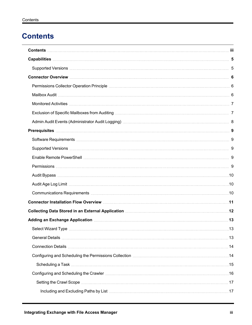# <span id="page-2-0"></span>**Contents**

| Exclusion of Specific Mailboxes from Auditing measure the content of the content of Specific Mailboxes from Auditing measure that the content of the T                                                                         |    |
|--------------------------------------------------------------------------------------------------------------------------------------------------------------------------------------------------------------------------------|----|
|                                                                                                                                                                                                                                |    |
|                                                                                                                                                                                                                                |    |
|                                                                                                                                                                                                                                |    |
|                                                                                                                                                                                                                                |    |
|                                                                                                                                                                                                                                |    |
|                                                                                                                                                                                                                                |    |
|                                                                                                                                                                                                                                |    |
|                                                                                                                                                                                                                                |    |
|                                                                                                                                                                                                                                |    |
|                                                                                                                                                                                                                                |    |
| Collecting Data Stored in an External Application [11] Collecting Data Stored in Application [12] Collecting Data Stored in an External Application [12] Application [12] Application [12] Application [12] Application [12] A |    |
| Adding an Exchange Application [11] Martin Martin Martin Martin Martin Martin Martin Martin Martin Martin Mart                                                                                                                 |    |
| Select Wizard Type                                                                                                                                                                                                             | 13 |
|                                                                                                                                                                                                                                |    |
|                                                                                                                                                                                                                                |    |
|                                                                                                                                                                                                                                |    |
|                                                                                                                                                                                                                                |    |
|                                                                                                                                                                                                                                |    |
|                                                                                                                                                                                                                                |    |
|                                                                                                                                                                                                                                |    |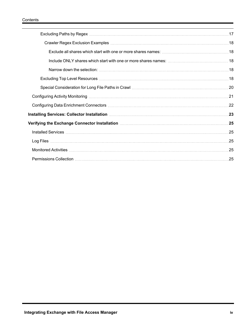| .25 |
|-----|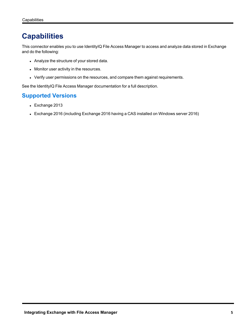# <span id="page-4-0"></span>**Capabilities**

This connector enables you to use IdentityIQ File Access Manager to access and analyze data stored in Exchange and do the following:

- Analyze the structure of your stored data.
- Monitor user activity in the resources.
- Verify user permissions on the resources, and compare them against requirements.

<span id="page-4-1"></span>See the IdentityIQ File Access Manager documentation for a full description.

# **Supported Versions**

- $\bullet$  Exchange 2013
- Exchange 2016 (including Exchange 2016 having a CAS installed on Windows server 2016)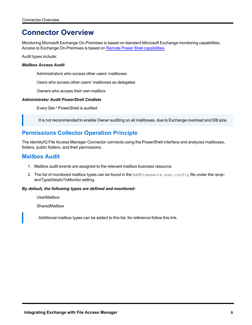# <span id="page-5-0"></span>**Connector Overview**

Monitoring Microsoft Exchange On-Premises is based on standard Microsoft Exchange monitoring capabilities. Access to Exchange On-Premises is based on Remote Power Shell [capabilities.](https://docs.microsoft.com/en-us/powershell/module/exchange/set-mailbox?redirectedfrom=MSDN&view=exchange-ps)

Audit types include:

#### *Mailbox Access Audit*

Administrators who access other users' mailboxes

Users who access other users' mailboxes as delegates

Owners who access their own mailbox

#### *Administrator Audit PowerShell Cmdlets*

Every Set-\* PowerShell is audited

It is not recommended to enable Owner auditing on all mailboxes, due to Exchange overload and DB size.

# <span id="page-5-1"></span>**Permissions Collector Operation Principle**

<span id="page-5-2"></span>The IdentityIQ File Access Manager Connector connects using the PowerShell interface and analyzes mailboxes, folders, public folders, and their permissions.

### **Mailbox Audit**

- 1. Mailbox audit events are assigned to the relevant mailbox business resource.
- 2. The list of monitored mailbox types can be found in the BAMFramework.exe.config file under the *recipientTypeDetailsToMonitor* setting.

#### *By default, the following types are defined and monitored:*

UserMailbox

**SharedMailbox** 

Additional mailbox types can be added to this list, for reference follow this link.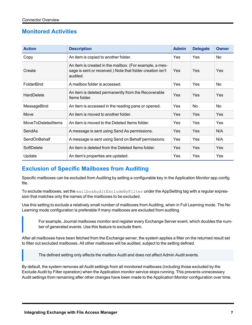# <span id="page-6-0"></span>**Monitored Activities**

| <b>Action</b>             | <b>Description</b>                                                                                                                              | <b>Admin</b> | <b>Delegate</b> | <b>Owner</b> |
|---------------------------|-------------------------------------------------------------------------------------------------------------------------------------------------|--------------|-----------------|--------------|
| Copy                      | An item is copied to another folder.                                                                                                            | <b>Yes</b>   | Yes             | No           |
| Create                    | An item is created in the mailbox. (For example, a mes-<br>sage is sent or received.) Note that folder creation isn't<br><b>Yes</b><br>audited. |              | <b>Yes</b>      | Yes          |
| FolderBind                | A mailbox folder is accessed.                                                                                                                   | <b>Yes</b>   | <b>Yes</b>      | No           |
| <b>HardDelete</b>         | An item is deleted permanently from the Recoverable<br>Items folder.                                                                            | <b>Yes</b>   | <b>Yes</b>      | Yes          |
| MessageBind               | An item is accessed in the reading pane or opened.                                                                                              | <b>Yes</b>   | No              | No           |
| Move                      | An item is moved to another folder.                                                                                                             | Yes          | Yes             | Yes          |
| <b>MoveToDeletedItems</b> | An item is moved to the Deleted Items folder.                                                                                                   | <b>Yes</b>   | <b>Yes</b>      | Yes          |
| SendAs                    | A message is sent using Send As permissions.                                                                                                    | <b>Yes</b>   | <b>Yes</b>      | N/A          |
| SendOnBehalf              | A message is sent using Send on Behalf permissions.                                                                                             | <b>Yes</b>   | <b>Yes</b>      | N/A          |
| SoftDelete                | An item is deleted from the Deleted Items folder.                                                                                               | <b>Yes</b>   | <b>Yes</b>      | Yes          |
| Update                    | An item's properties are updated.                                                                                                               | <b>Yes</b>   | Yes             | Yes          |

# <span id="page-6-1"></span>**Exclusion of Specific Mailboxes from Auditing**

Specific mailboxes can be excluded from Auditing by setting a configurable key in the Application Monitor app.config file.

To exclude mailboxes, set the mailboxAuditExcludeByFilter under the AppSetting tag with a regular expression that matches only the names of the mailboxes to be excluded.

Use this setting to exclude a relatively small number of mailboxes from Auditing, when in Full Learning mode. The No Learning mode configuration is preferable if many mailboxes are excluded from auditing.

For example, Journal mailboxes monitor and register every Exchange Server event, which doubles the number of generated events. Use this feature to exclude them.

After all mailboxes have been fetched from the Exchange server, the system applies a filter on the returned result set to filter out excluded mailboxes. All other mailboxes will be audited, subject to the setting defined.

The defined setting only affects the mailbox Audit and does not affect Admin Audit events.

By default, the system removes all Audit settings from all monitored mailboxes (including those excluded by the Exclude Audit by Filter operation) when the Application monitor service stops running. This prevents unnecessary Audit settings from remaining after other changes have been made to the Application Monitor configuration over time.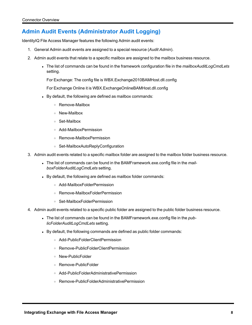# <span id="page-7-0"></span>**Admin Audit Events (Administrator Audit Logging)**

IdentityIQ File Access Manager features the following Admin audit events:

- 1. General Admin audit events are assigned to a special resource (*Audit Admin*).
- 2. Admin audit events that relate to a specific mailbox are assigned to the mailbox business resource.
	- <sup>l</sup> The list of commands can be found in the framework configuration file in the *mailboxAuditLogCmdLets* setting.

For Exchange: The config file is WBX.Exchange2010BAMHost.dll.config

For Exchange Online it is WBX.ExchangeOnlineBAMHost.dll.config

- By default, the following are defined as mailbox commands:
	- <sup>o</sup> Remove-Mailbox
	- <sup>o</sup> New-Mailbox
	- <sup>o</sup> Set-Mailbox
	- <sup>o</sup> Add-MailboxPermission
	- <sup>o</sup> Remove-MailboxPermission
	- <sup>o</sup> Set-MailboxAutoReplyConfiguration
- 3. Admin audit events related to a specific mailbox folder are assigned to the mailbox folder business resource.
	- The list of commands can be found in the BAMFramework.exe.config file in the *mailboxFolderAuditLogCmdLets* setting.
	- By default, the following are defined as mailbox folder commands:
		- <sup>o</sup> Add-MailboxFolderPermission
		- <sup>o</sup> Remove-MailboxFolderPermission
		- <sup>o</sup> Set-MailboxFolderPermission
- 4. Admin audit events related to a specific public folder are assigned to the public folder business resource.
	- . The list of commands can be found in the BAMFramework.exe.config file in the *publicFolderAuditLogCmdLets* setting.
	- By default, the following commands are defined as public folder commands:
		- <sup>o</sup> Add-PublicFolderClientPermission
		- <sup>o</sup> Remove-PublicFolderClientPermission
		- <sup>o</sup> New-PublicFolder
		- <sup>o</sup> Remove-PublicFolder
		- <sup>o</sup> Add-PublicFolderAdministrativePermission
		- <sup>o</sup> Remove-PublicFolderAdministrativePermission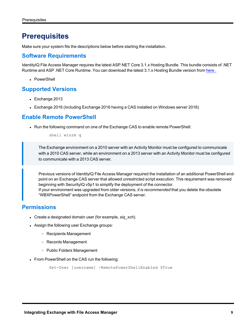# <span id="page-8-0"></span>**Prerequisites**

<span id="page-8-1"></span>Make sure your system fits the descriptions below before starting the installation.

# **Software Requirements**

IdentityIQ File Access Manager requires the latest ASP.NET Core 3.1.x Hosting Bundle. This bundle consists of .NET Runtime and ASP .NET Core Runtime. You can download the latest 3.1.x Hosting Bundle version from [here](https://dotnet.microsoft.com/download/dotnet/3.1).

• PowerShell

### <span id="page-8-2"></span>**Supported Versions**

- $\bullet$  Exchange 2013
- Exchange 2016 (including Exchange 2016 having a CAS installed on Windows server 2016)

### <span id="page-8-3"></span>**Enable Remote PowerShell**

• Run the following command on one of the Exchange CAS to enable remote PowerShell:

shell winrm q

The Exchange environment on a 2010 server with an Activity Monitor must be configured to communicate with a 2010 CAS server, while an environment on a 2013 server with an Activity Monitor must be configured to communicate with a 2013 CAS server.

Previous versions of IdentityIQ File Access Manager required the installation of an additional PowerShell endpoint on an Exchange CAS server that allowed unrestricted script execution. This requirement was removed beginning with SecurityIQ v5p1 to simplify the deployment of the connector. If your environment was upgraded from older versions, *it is recommended* that you delete the obsolete

"WBXPowerShell" endpoint from the Exchange CAS server.

# <span id="page-8-4"></span>**Permissions**

- Create a designated domain user (for example, *sig xch*).
- Assign the following user Exchange groups:
	- <sup>o</sup> Recipients Management
	- <sup>o</sup> Records Management
	- <sup>o</sup> Public Folders Management
- From PowerShell on the CAS run the following:

```
Set-User [username] -RemotePowerShellEnabled $True
```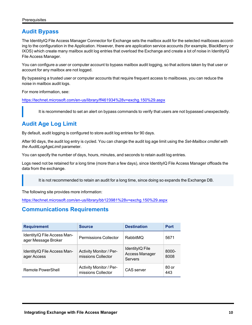# <span id="page-9-0"></span>**Audit Bypass**

The IdentityIQ File Access Manager Connector for Exchange sets the mailbox audit for the selected mailboxes according to the configuration in the Application. However, there are application service accounts (for example, BlackBerry or IXOS) which create many mailbox audit log entries that overload the Exchange and create a lot of noise in IdentityIQ File Access Manager.

You can configure a user or computer account to bypass mailbox audit logging, so that actions taken by that user or account for any mailbox are not logged.

By bypassing a trusted user or computer accounts that require frequent access to mailboxes, you can reduce the noise in mailbox audit logs.

For more information, see:

[https://technet.microsoft.com/en-us/library/ff461934%28v=exchg.150%29.aspx](https://technet.microsoft.com/en-us/library/ff461934(v=exchg.150).aspx)

It is recommended to set an alert on bypass commands to verify that users are not bypassed unexpectedly.

# <span id="page-9-1"></span>**Audit Age Log Limit**

By default, audit logging is configured to store audit log entries for 90 days.

After 90 days, the audit log entry is cycled. You can change the audit log age limit using the *Set-Mailbox cmdlet with the AuditLogAgeLimit* parameter.

You can specify the number of days, hours, minutes, and seconds to retain audit log entries.

Logs need not be retained for a long time (more than a few days), since IdentityIQ File Access Manager offloads the data from the exchange.

It is not recommended to retain an audit for a long time, since doing so expands the Exchange DB.

The following site provides more information:

<span id="page-9-2"></span>[https://technet.microsoft.com/en-us/library/bb123981%28v=exchg.150%29.aspx](https://technet.microsoft.com/en-us/library/bb123981(v=exchg.150).aspx)

# **Communications Requirements**

| <b>Requirement</b>                                 | <b>Source</b>                                 | <b>Destination</b>                                  | <b>Port</b>   |
|----------------------------------------------------|-----------------------------------------------|-----------------------------------------------------|---------------|
| IdentityIQ File Access Man-<br>ager Message Broker | <b>Permissions Collector</b>                  | RabbitMQ                                            | 5671          |
| IdentityIQ File Access Man-<br>ager Access         | Activity Monitor / Per-<br>missions Collector | IdentityIQ File<br>Access Manager<br><b>Servers</b> | 8000-<br>8008 |
| Remote PowerShell                                  | Activity Monitor / Per-<br>missions Collector | CAS server                                          | 80 or<br>443  |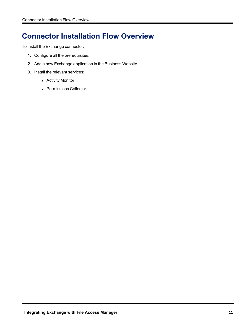# <span id="page-10-0"></span>**Connector Installation Flow Overview**

To install the Exchange connector:

- 1. Configure all the prerequisites.
- 2. Add a new Exchange application in the Business Website.
- 3. Install the relevant services:
	- Activity Monitor
	- Permissions Collector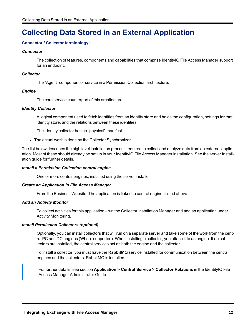# <span id="page-11-0"></span>**Collecting Data Stored in an External Application**

#### **Connector / Collector terminology:**

#### *Connector*

The collection of features, components and capabilities that comprise IdentityIQ File Access Manager support for an endpoint.

#### *Collector*

The "Agent" component or service in a Permission Collection architecture.

#### *Engine*

The core service counterpart of this architecture.

#### *Identity Collector*

A logical component used to fetch identities from an identity store and holds the configuration, settings for that identity store, and the relations between these identities.

The identity collector has no "physical" manifest.

• The actual work is done by the Collector Synchronizer.

The list below describes the high level installation process required to collect and analyze data from an external application. Most of these should already be set up in your IdentityIQ File Access Manager installation. See the server Installation guide for further details.

#### *Install a Permission Collection central engine*

One or more central engines, installed using the server installer

#### *Create an Application in File Access Manager*

From the Business Website. The application is linked to central engines listed above.

#### *Add an Activity Monitor*

To collect activities for this application - run the Collector Installation Manager and add an application under Activity Monitoring.

#### *Install Permission Collectors (optional)*

Optionally, you can install collectors that will run on a separate server and take some of the work from the central PC and DC engines (Where supported). When installing a collector, you attach it to an engine. If no collectors are installed, the central services act as both the engine and the collector.

To install a collector, you must have the **RabbitMQ** service installed for communication between the central engines and the collectors. RabbitMQ is installed

For further details, see section **Application > Central Service > Collector Relations** in the IdentityIQ File Access Manager Administrator Guide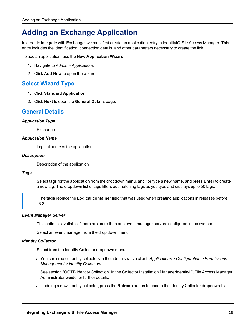# <span id="page-12-0"></span>**Adding an Exchange Application**

In order to integrate with Exchange, we must first create an application entry in IdentityIQ File Access Manager. This entry includes the identification, connection details, and other parameters necessary to create the link.

To add an application, use the **New Application Wizard**.

- 1. Navigate to *Admin > Applications*
- <span id="page-12-1"></span>2. Click **Add New** to open the wizard.

# **Select Wizard Type**

- 1. Click **Standard Application**
- <span id="page-12-2"></span>2. Click **Next** to open the **General Details** page.

### **General Details**

#### *Application Type*

Exchange

#### *Application Name*

Logical name of the application

#### *Description*

Description of the application

#### *Tags*

Select tags for the application from the dropdown menu, and / or type a new name, and press **Enter** to create a new tag. The dropdown list of tags filters out matching tags as you type and displays up to 50 tags.

The **tags** replace the **Logical container** field that was used when creating applications in releases before 8.2

#### *Event Manager Server*

This option is available if there are more than one event manager servers configured in the system.

Select an event manager from the drop down menu

#### *Identity Collector*

Select from the Identity Collector dropdown menu.

<sup>l</sup> You can create identity collectors in the administrative client. *Applications > Configuration > Permissions Management > Identity Collectors*

See section "OOTB Identity Collection" in the Collector Installation ManagerIdentityIQ File Access Manager Administrator Guide for further details.

If adding a new identity collector, press the **Refresh** button to update the Identity Collector dropdown list.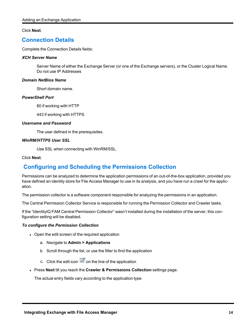#### <span id="page-13-0"></span>Click **Next**.

### **Connection Details**

Complete the Connection Details fields:

#### *XCH Server Name*

Server Name of either the Exchange Server (or one of the Exchange servers), or the Cluster Logical Name. Do not use IP Addresses

#### *Domain NetBios Name*

Short domain name.

#### *PowerShell Port*

80 if working with HTTP

443 if working with HTTPS

#### *Username and Password*

The user defined in the prerequisites.

#### *WinRM/HTTPS User SSL*

Use SSL when connecting with WinRM/SSL.

#### <span id="page-13-1"></span>Click **Next**.

# **Configuring and Scheduling the Permissions Collection**

Permissions can be analyzed to determine the application permissions of an out-of-the-box application, provided you have defined an identity store for File Access Manager to use in its analysis, and you have run a crawl for the application.

The permission collector is a software component responsible for analyzing the permissions in an application.

The Central Permission Collector Service is responsible for running the Permission Collector and Crawler tasks.

If the "IdentityIQ FAM Central Permission Collector" wasn't installed during the installation of the server, this configuration setting will be disabled.

#### *To configure the Permission Collection*

- Open the edit screen of the required application
	- a. Navigate to **Admin > Applications**
	- b. Scroll through the list, or use the filter to find the application
	- c. Click the edit icon  $\overline{\mathscr{Q}}$  on the line of the application
- <sup>l</sup> Press **Next** till you reach the **Crawler & Permissions Collection** settings page.

The actual entry fields vary according to the application type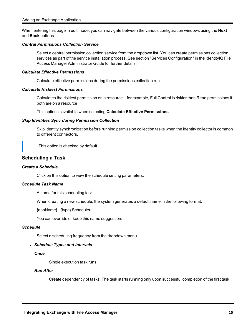When entering this page in edit mode, you can navigate between the various configuration windows using the **Next** and **Back** buttons.

#### *Central Permissions Collection Service*

Select a central permission collection service from the dropdown list. You can create permissions collection services as part of the service installation process. See section "Services Configuration" in the IdentityIQ File Access Manager Administrator Guide for further details.

#### *Calculate Effective Permissions*

Calculate effective permissions during the permissions collection run

#### *Calculate Riskiest Permissions*

Calculates the riskiest permission on a resource – for example, Full Control is riskier than Read permissions if both are on a resource

This option is available when selecting **Calculate Effective Permissions**.

#### *Skip Identities Sync during Permission Collection*

Skip identity synchronization before running permission collection tasks when the identity collector is common to different connectors.

This option is checked by default.

#### <span id="page-14-0"></span>**Scheduling a Task**

#### *Create a Schedule*

Click on this option to view the schedule setting parameters.

#### *Schedule Task Name*

A name for this scheduling task

When creating a new schedule, the system generates a default name in the following format:

{appName} - {type} Scheduler

You can override or keep this name suggestion.

#### *Schedule*

Select a scheduling frequency from the dropdown menu.

#### <sup>l</sup> *Schedule Types and Intervals*

*Once*

Single execution task runs.

#### *Run After*

Create dependency of tasks. The task starts running only upon successful completion of the first task.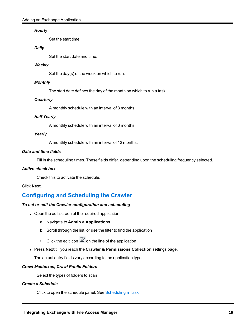#### *Hourly*

Set the start time.

#### *Daily*

Set the start date and time.

#### *Weekly*

Set the day(s) of the week on which to run.

#### *Monthly*

The start date defines the day of the month on which to run a task.

#### *Quarterly*

A monthly schedule with an interval of 3 months.

#### *Half Yearly*

A monthly schedule with an interval of 6 months.

#### *Yearly*

A monthly schedule with an interval of 12 months.

#### *Date and time fields*

Fill in the scheduling times. These fields differ, depending upon the scheduling frequency selected.

#### *Active check box*

Check this to activate the schedule.

#### <span id="page-15-0"></span>Click **Next**.

# **Configuring and Scheduling the Crawler**

#### *To set or edit the Crawler configuration and scheduling*

- Open the edit screen of the required application
	- a. Navigate to **Admin > Applications**
	- b. Scroll through the list, or use the filter to find the application
	- c. Click the edit icon  $\overline{\mathscr{Q}}$  on the line of the application
- <sup>l</sup> Press **Next** till you reach the **Crawler & Permissions Collection** settings page.

The actual entry fields vary according to the application type

#### *Crawl Mailboxes, Crawl Public Folders*

Select the types of folders to scan

#### *Create a Schedule*

Click to open the schedule panel. See [Scheduling](#page-14-0) a Task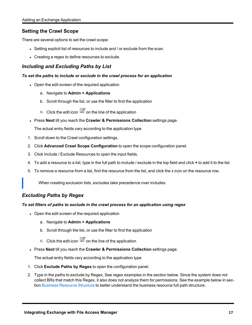### <span id="page-16-0"></span>**Setting the Crawl Scope**

There are several options to set the crawl scope:

- **Setting explicit list of resources to include and / or exclude from the scan.**
- Creating a regex to define resources to exclude.

### <span id="page-16-1"></span>*Including and Excluding Paths by List*

#### *To set the paths to include or exclude in the crawl process for an application*

- Open the edit screen of the required application
	- a. Navigate to **Admin > Applications**
	- b. Scroll through the list, or use the filter to find the application
	- c. Click the edit icon  $\mathbb Z$  on the line of the application
- <sup>l</sup> Press **Next** till you reach the **Crawler & Permissions Collection** settings page.

The actual entry fields vary according to the application type

- 1. Scroll down to the Crawl configuration settings.
- 2. Click **Advanced Crawl Scope Configuration** to open the scope configuration panel.
- 3. Click Include / Exclude Resources to open the input fields.
- 4. To add a resource to a list, type in the full path to include / exclude in the top field and click **+** to add it to the list.
- 5. To remove a resource from a list, find the resource from the list, and click the *x* icon on the resource row.

When creating exclusion lists, excludes take precedence over includes.

### <span id="page-16-2"></span>*Excluding Paths by Regex*

#### *To set filters of paths to exclude in the crawl process for an application using regex*

- Open the edit screen of the required application
	- a. Navigate to **Admin > Applications**
	- b. Scroll through the list, or use the filter to find the application
	- c. Click the edit icon  $\mathbb Z$  on the line of the application
- <sup>l</sup> Press **Next** till you reach the **Crawler & Permissions Collection** settings page.

The actual entry fields vary according to the application type

- 1. Click **Exclude Paths by Regex** to open the configuration panel.
- 2. Type in the paths to exclude by Regex, See regex examples in the section below. Since the system does not collect BRs that match this Regex, it also does not analyze them for permissions. See the example below in section Business [Resource](../../../../../../Content/Admin_Guide/BusinessResourceStruct.htm) Structure to better understand the business resource full path structure.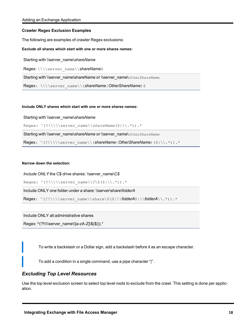#### <span id="page-17-0"></span>**Crawler Regex Exclusion Examples**

The following are examples of crawler Regex exclusions:

#### <span id="page-17-1"></span>**Exclude all shares which start with one or more shares names:**

Starting with \\server\_name\*shareName*

Regex: \\\\server\_name\\*shareName*\$

Starting with \\server\_name\shareName or \\server\_name\*OtherShareName* 

Regex: \\\\server\_name\\(ShareName|OtherShareName)\$

#### <span id="page-17-2"></span>**Include ONLY shares which start with one or more shares names:**

Starting with \\server\_name\*shareName*

Regex: ^(?!\\\\server\_name\\shareName(\$|\\.\*)).\*

Starting with \\server\_name\*shareName* or \\server\_name\*OtherShareName*

Regex: ^(?!\\\\server\_name\\(*shareName*|OtherShareName)(\$|\\.\*)).\*

#### <span id="page-17-3"></span>**Narrow down the selection:**

*Include ONLY* the C\$ drive shares: \\server\_name\*C\$*

Regex: ^(?!\\\\server\_name\\*C*\\$(\$|\\.\*)).\*

Include ONLY one folder under a share: \\server\share\*folderA*

Regex: ^(?!\\\\server\_name\\share\\$(\$|\\*folderA*\$|\\*folderA*\\.\*)).\*

Include ONLY all administrative shares

Regex: ^(?!\\\\server\_name\\[a-zA-Z]\\$(\$|)).\*

To write a backslash or a Dollar sign, add a backslash before it as an escape character.

To add a condition in a single command, use a pipe character "|" .

#### <span id="page-17-4"></span>*Excluding Top Level Resources*

Use the top level exclusion screen to select top level roots to exclude from the crawl. This setting is done per application.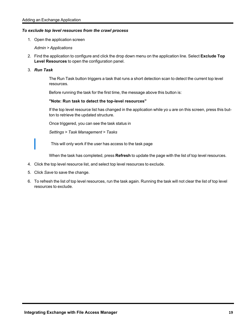#### *To exclude top level resources from the crawl process*

1. Open the application screen

*Admin > Applications*

- 2. Find the application to configure and click the drop down menu on the application line. Select **Exclude Top Level Resources** to open the configuration panel.
- 3. *Run Task*

The Run Task button triggers a task that runs a short detection scan to detect the current top level resources.

Before running the task for the first time, the message above this button is:

#### **"Note: Run task to detect the top-level resources"**

If the top level resource list has changed in the application while yo u are on this screen, press this button to retrieve the updated structure.

Once triggered, you can see the task status in

*Settings > Task Management > Tasks*

This will only work if the user has access to the task page

When the task has completed, press **Refresh** to update the page with the list of top level resources.

- 4. Click the top level resource list, and select top level resources to exclude.
- 5. Click *Save* to save the change.
- 6. To refresh the list of top level resources, run the task again. Running the task will not clear the list of top level resources to exclude.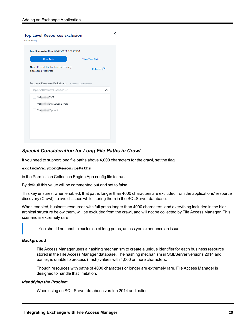|                                                                  | Last Successful Run 06-22-2021 4:57:27 PM |
|------------------------------------------------------------------|-------------------------------------------|
| <b>Run Task</b>                                                  | <b>View Task Status</b>                   |
| Note: Refresh the list to view recently<br>discovered resources. | Refresh $\mathcal{C}$                     |
| Top Level Resources Exclusion List 0 Selected   Clear Selection  |                                           |
| Top Level Resources Exclusion List                               | ᄉ                                         |
| $\sqrt{s}$ 5\C\$                                                 |                                           |
| \\si 5\MSSQLSERVER                                               |                                           |
| \\si 5\print\$                                                   |                                           |
|                                                                  |                                           |
|                                                                  |                                           |

### <span id="page-19-0"></span>*Special Consideration for Long File Paths in Crawl*

If you need to support long file paths above 4,000 characters for the crawl, set the flag

#### **excludeVeryLongResourcePaths**

in the Permission Collection Engine App.config file to true.

By default this value will be commented out and set to false.

This key ensures, when enabled, that paths longer than 4000 characters are excluded from the applications' resource discovery (Crawl), to avoid issues while storing them in the SQLServer database.

When enabled, business resources with full paths longer than 4000 characters, and everything included in the hierarchical structure below them, will be excluded from the crawl, and will not be collected by File Access Manager. This scenario is extremely rare.

You should not enable exclusion of long paths, unless you experience an issue.

#### *Background*

File Access Manager uses a hashing mechanism to create a unique identifier for each business resource stored in the File Access Manager database. The hashing mechanism in SQLServer versions 2014 and earlier, is unable to process (hash) values with 4,000 or more characters.

Though resources with paths of 4000 characters or longer are extremely rare, File Access Manager is designed to handle that limitation.

#### *Identifying the Problem*

When using an SQL Server database version 2014 and ealier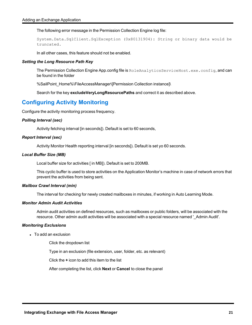The following error message in the Permission Collection Engine log file:

System.Data.SqlClient.SqlException (0x80131904): String or binary data would be truncated.

In all other cases, this feature should not be enabled.

#### *Setting the Long Resource Path Key*

The Permission Collection Engine App.config file is RoleAnalyticsServiceHost.exe.config, and can be found in the folder

%SailPoint\_Home%\FileAccessManager\[Permission Collection instance]\

Search for the key **excludeVeryLongResourcePaths** and correct it as described above.

### <span id="page-20-0"></span>**Configuring Activity Monitoring**

Configure the activity monitoring process frequency.

#### *Polling Interval (sec)*

Activity fetching interval [in seconds]). Default is set to 60 seconds,

#### *Report Interval (sec)*

Activity Monitor Health reporting interval [in seconds]). Default is set yo 60 seconds.

#### *Local Buffer Size (MB)*

Local buffer size for activities [ in MB]). Default is set to 200MB.

This cyclic buffer is used to store activities on the Application Monitor's machine in case of network errors that prevent the activities from being sent.

#### *Mailbox Crawl Interval (min)*

The interval for checking for newly created mailboxes in minutes, if working in Auto Learning Mode.

#### *Monitor Admin Audit Activities*

Admin audit activities on defined resources, such as mailboxes or public folders, will be associated with the resource. Other admin audit activities will be associated with a special resource named '\_Admin Audit'.

#### *Monitoring Exclusions*

• To add an exclusion

Click the dropdown list

Type in an exclusion (file extension, user, folder, etc. as relevant)

Click the **+** icon to add this item to the list

After completing the list, click **Next** or **Cancel** to close the panel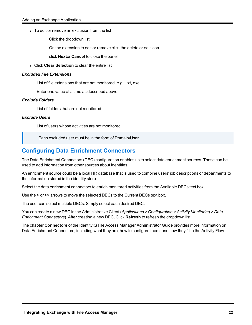• To edit or remove an exclusion from the list

Click the dropdown list

On the extension to edit or remove click the delete or edit icon

click **Next**or **Cancel** to close the panel

**.** Click **Clear Selection** to clear the entire list

#### *Excluded File Extensions*

List of file extensions that are not monitored. e.g. : txt, exe

Enter one value at a time as described above

#### *Exclude Folders*

List of folders that are not monitored

#### *Exclude Users*

List of users whose activities are not monitored

Each excluded user must be in the form of Domain\User.

# <span id="page-21-0"></span>**Configuring Data Enrichment Connectors**

The Data Enrichment Connectors (DEC) configuration enables us to select data enrichment sources. These can be used to add information from other sources about identities.

An enrichment source could be a local HR database that is used to combine users' job descriptions or departments to the information stored in the identity store.

Select the data enrichment connectors to enrich monitored activities from the Available DECs text box.

Use the > or >> arrows to move the selected DECs to the Current DECs text box.

The user can select multiple DECs. Simply select each desired DEC.

You can create a new DEC in the Administrative Client (*Applications > Configuration > Activity Monitoring > Data Enrichment Connectors*). After creating a new DEC, Click **Refresh** to refresh the dropdown list.

The chapter **Connectors** of the IdentityIQ File Access Manager Administrator Guide provides more information on Data Enrichment Connectors, including what they are, how to configure them, and how they fit in the Activity Flow.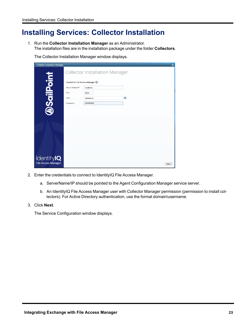# <span id="page-22-0"></span>**Installing Services: Collector Installation**

1. Run the **Collector Installation Manager** as an Administrator. The installation files are in the installation package under the folder **Collectors**.

The Collector Installation Manager window displays.

| <b>Collector Installation Manager</b> |                                |                                       |           | $\boldsymbol{\mathsf{x}}$ |
|---------------------------------------|--------------------------------|---------------------------------------|-----------|---------------------------|
|                                       |                                | <b>Collector Installation Manager</b> |           |                           |
| <b>DSailPoint</b>                     | Connect to File Access Manager |                                       |           |                           |
|                                       | Server Name/IP:                | localhost                             |           |                           |
|                                       | Port                           | 8000                                  |           |                           |
|                                       | User:                          | wbxadmin                              | $\bullet$ |                           |
|                                       | Password:                      |                                       |           |                           |
|                                       |                                |                                       |           |                           |
|                                       |                                |                                       |           |                           |
|                                       |                                |                                       |           |                           |
|                                       |                                |                                       |           |                           |
|                                       |                                |                                       |           |                           |
|                                       |                                |                                       |           |                           |
|                                       |                                |                                       |           |                           |
| Identity <b>IQ</b>                    |                                |                                       |           |                           |
| <b>File Access Manager</b>            |                                |                                       |           | Next                      |

- 2. Enter the credentials to connect to IdentityIQ File Access Manager.
	- a. ServerName/IP should be pointed to the Agent Configuration Manager service server.
	- b. An IdentityIQ File Access Manager user with Collector Manager permission (permission to install collectors). For Active Directory authentication, use the format domain\username.
- 3. Click **Next**.

The Service Configuration window displays.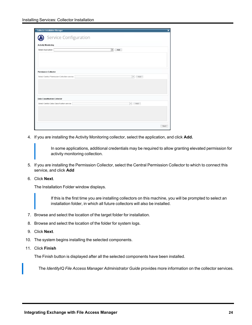| <b>Collector Installation Manager</b>         | ×                                |
|-----------------------------------------------|----------------------------------|
| Service Configuration                         |                                  |
| <b>Activity Monitoring</b>                    |                                  |
| Select Application:                           | Add<br>$\overline{\phantom{a}}$  |
|                                               |                                  |
|                                               |                                  |
|                                               |                                  |
|                                               |                                  |
| <b>Permission Collector</b>                   |                                  |
| Select Central Permission Collection service: | Add<br>$\boldsymbol{\mathrm{v}}$ |
|                                               |                                  |
|                                               |                                  |
|                                               |                                  |
|                                               |                                  |
| <b>Data Classification Collector</b>          |                                  |
| Select Central Data Classification service:   | $\overline{\phantom{a}}$<br>Add  |
|                                               |                                  |
|                                               |                                  |
|                                               |                                  |
|                                               |                                  |
|                                               | Next                             |

4. If you are installing the Activity Monitoring collector, select the application, and click **Add.**

In some applications, additional credentials may be required to allow granting elevated permission for activity monitoring collection.

- 5. If you are installing the Permission Collector, select the Central Permission Collector to which to connect this service, and click **Add**
- 6. Click **Next**.

The Installation Folder window displays.

If this is the first time you are installing collectors on this machine, you will be prompted to select an installation folder, in which all future collectors will also be installed.

- 7. Browse and select the location of the target folder for installation.
- 8. Browse and select the location of the folder for system logs.
- 9. Click **Next**.
- 10. The system begins installing the selected components.
- 11. Click **Finish**

The Finish button is displayed after all the selected components have been installed.

The *IdentityIQ File Access Manager Administrator Guide* provides more information on the collector services.